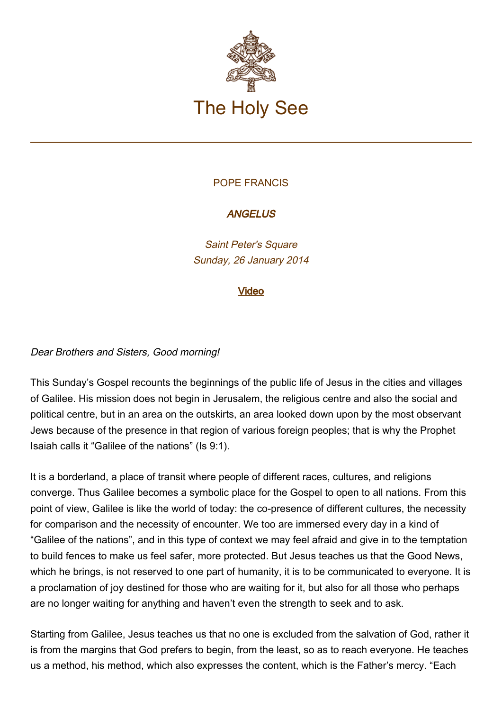

## POPE FRANCIS

# **ANGELUS**

Saint Peter's Square Sunday, 26 January 2014

### [Video](http://player.rv.va/vaticanplayer.asp?language=it&tic=VA_THSMN8J8)

### Dear Brothers and Sisters, Good morning!

This Sunday's Gospel recounts the beginnings of the public life of Jesus in the cities and villages of Galilee. His mission does not begin in Jerusalem, the religious centre and also the social and political centre, but in an area on the outskirts, an area looked down upon by the most observant Jews because of the presence in that region of various foreign peoples; that is why the Prophet Isaiah calls it "Galilee of the nations" (Is 9:1).

It is a borderland, a place of transit where people of different races, cultures, and religions converge. Thus Galilee becomes a symbolic place for the Gospel to open to all nations. From this point of view, Galilee is like the world of today: the co-presence of different cultures, the necessity for comparison and the necessity of encounter. We too are immersed every day in a kind of "Galilee of the nations", and in this type of context we may feel afraid and give in to the temptation to build fences to make us feel safer, more protected. But Jesus teaches us that the Good News, which he brings, is not reserved to one part of humanity, it is to be communicated to everyone. It is a proclamation of joy destined for those who are waiting for it, but also for all those who perhaps are no longer waiting for anything and haven't even the strength to seek and to ask.

Starting from Galilee, Jesus teaches us that no one is excluded from the salvation of God, rather it is from the margins that God prefers to begin, from the least, so as to reach everyone. He teaches us a method, his method, which also expresses the content, which is the Father's mercy. "Each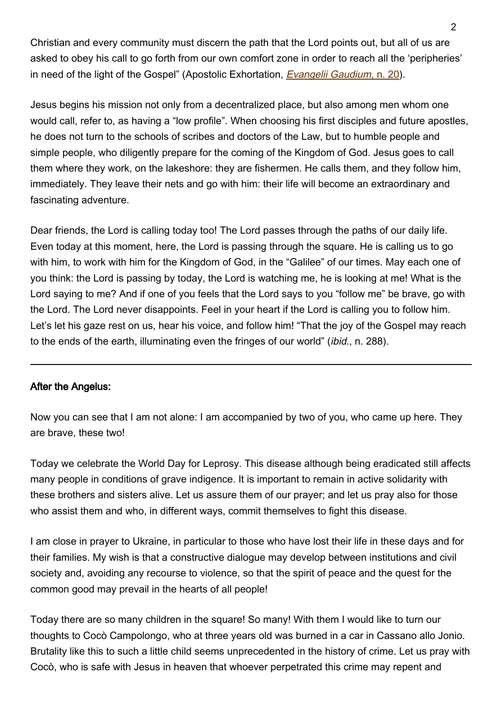Christian and every community must discern the path that the Lord points out, but all of us are asked to obey his call to go forth from our own comfort zone in order to reach all the 'peripheries' in need of the light of the Gospel" (Apostolic Exhortation, *Evangelii Gaudium*[, n. 20](http://w2.vatican.va/content/francesco/en/apost_exhortations/documents/papa-francesco_esortazione-ap_20131124_evangelii-gaudium.html#I.%E2%80%82A_Church_which_goes_forth)).

Jesus begins his mission not only from a decentralized place, but also among men whom one would call, refer to, as having a "low profile". When choosing his first disciples and future apostles, he does not turn to the schools of scribes and doctors of the Law, but to humble people and simple people, who diligently prepare for the coming of the Kingdom of God. Jesus goes to call them where they work, on the lakeshore: they are fishermen. He calls them, and they follow him, immediately. They leave their nets and go with him: their life will become an extraordinary and fascinating adventure.

Dear friends, the Lord is calling today too! The Lord passes through the paths of our daily life. Even today at this moment, here, the Lord is passing through the square. He is calling us to go with him, to work with him for the Kingdom of God, in the "Galilee" of our times. May each one of you think: the Lord is passing by today, the Lord is watching me, he is looking at me! What is the Lord saying to me? And if one of you feels that the Lord says to you "follow me" be brave, go with the Lord. The Lord never disappoints. Feel in your heart if the Lord is calling you to follow him. Let's let his gaze rest on us, hear his voice, and follow him! "That the joy of the Gospel may reach to the ends of the earth, illuminating even the fringes of our world" (ibid., n. 288).

### After the Angelus:

Now you can see that I am not alone: I am accompanied by two of you, who came up here. They are brave, these two!

Today we celebrate the World Day for Leprosy. This disease although being eradicated still affects many people in conditions of grave indigence. It is important to remain in active solidarity with these brothers and sisters alive. Let us assure them of our prayer; and let us pray also for those who assist them and who, in different ways, commit themselves to fight this disease.

I am close in prayer to Ukraine, in particular to those who have lost their life in these days and for their families. My wish is that a constructive dialogue may develop between institutions and civil society and, avoiding any recourse to violence, so that the spirit of peace and the quest for the common good may prevail in the hearts of all people!

Today there are so many children in the square! So many! With them I would like to turn our thoughts to Cocò Campolongo, who at three years old was burned in a car in Cassano allo Jonio. Brutality like this to such a little child seems unprecedented in the history of crime. Let us pray with Cocò, who is safe with Jesus in heaven that whoever perpetrated this crime may repent and